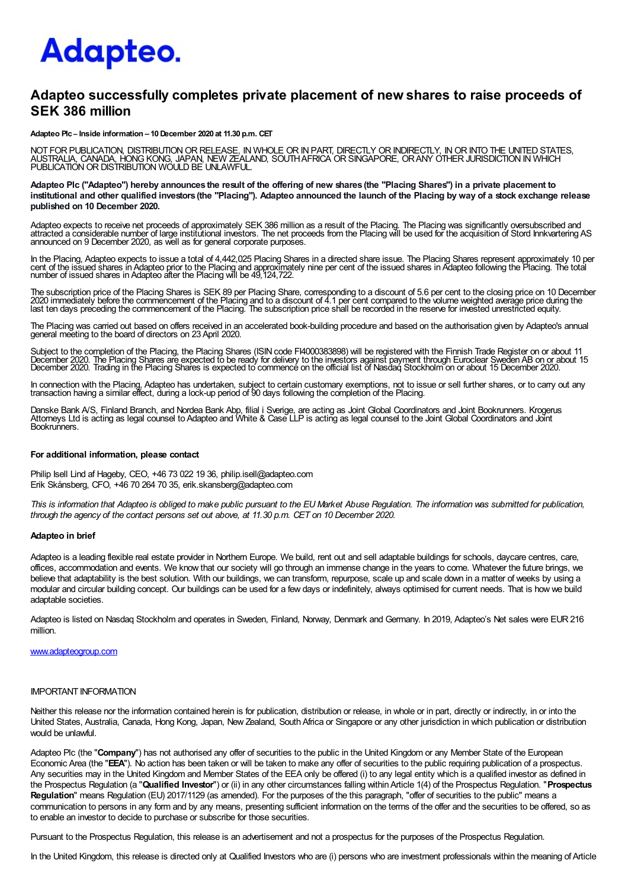# Adapteo.

# Adapteo successfully completes private placement of new shares to raise proceeds of SEK 386 million

Adapteo Plc – Inside information – 10 December 2020 at 11.30 p.m. CET

NOT FOR PUBLICATION, DISTRIBUTION OR RELEASE, IN WHOLE OR IN PART, DIRECTLY OR INDIRECTLY, IN OR INTO THE UNITED STATES,<br>AUSTRALIA, CANADA, HONG KONG, JAPAN, NEW ZEALAND, SOUTH AFRICA OR SINGAPORE, OR ANY OTHER JURISDICTIO

Adapteo Plc ("Adapteo") hereby announces the result of the offering of new shares (the "Placing Shares") in a private placement to institutional and other qualified investors (the "Placing"). Adapteo announced the launch of the Placing by way of a stock exchange release published on 10 December 2020.

Adapteo expects to receive net proceeds of approximately SEK 386 million as a result of the Placing. The Placing was significantly oversubscribed and<br>attracted a considerable number of large institutional investors. The ne

In the Placing, Adapteo expects to issue a total of 4,442,025 Placing Shares in a directed share issue. The Placing Shares represent approximately 10 per<br>cent of the issued shares in Adapteo prior to the Placing and approx

The subscription price of the Placing Shares is SEK 89 per Placing Share, corresponding to a discount of 5.6 per cent to the closing price on 10 December<br>2020 immediately before the commencement of the Placing and to a dis

The Placing was carried out based on offers received in an accelerated book-building procedure and based on the authorisation given by Adapteo's annual general meeting to the board of directors on 23April 2020.

Subject to the completion of the Placing, the Placing Shares (ISIN code FI4000383898) will be registered with the Finnish Trade Register on or about 11<br>December 2020. The Placing Shares are expected to be ready for deliver

In connection with the Placing, Adapteo has undertaken, subject to certain customary exemptions, not to issue or sell further shares, or to carry out any transaction having a similar effect, during a lock-up period of 90 days following the completion of the Placing.

Danske Bank A/S, Finland Branch, and Nordea Bank Abp, filial i Sverige, are acting as Joint Global Coordinators and Joint Bookrunners. Krogerus<br>Attomeys Ltd is acting as legal counsel to Adapteo and White & Case LLP is act Bookrunners.

#### For additional information, please contact

Philip Isell Lind af Hageby, CEO, +46 73 022 19 36, philip.isell@adapteo.com Erik Skånsberg, CFO, +46 70 264 70 35, erik.skansberg@adapteo.com

This is information that Adapteo is obliged to make public pursuant to the EU Market Abuse Regulation. The information was submitted for publication, through the agency of the contact persons set out above, at 11.30 p.m. CET on 10 December 2020.

## Adapteo in brief

Adapteo is a leading flexible real estate provider in Northern Europe. We build, rent out and sell adaptable buildings for schools, daycare centres, care, offices, accommodation and events. We know that our society will go through an immense change in the years to come. Whatever the future brings, we believe that adaptability is the best solution. With our buildings, we can transform, repurpose, scale up and scale down in a matter of weeks by using a modular and circular building concept. Our buildings can be used for a few days or indefinitely, always optimised for current needs. That is how we build adaptable societies.

Adapteo is listed on Nasdaq Stockholm and operates in Sweden, Finland, Norway, Denmark and Germany. In 2019, Adapteo's Net sales were EUR216 million.

#### www.adapteogroup.com

#### IMPORTANT INFORMATION

Neither this release nor the information contained herein is for publication, distribution or release, in whole or in part, directly or indirectly, in or into the United States, Australia, Canada, Hong Kong, Japan, New Zealand, SouthAfrica or Singapore or any other jurisdiction in which publication or distribution would be unlawful.

Adapteo Plc (the "Company") has not authorised any offer of securities to the public in the United Kingdom or any Member State of the European Economic Area (the "EEA"). No action has been taken or will be taken to make any offer of securities to the public requiring publication of a prospectus. Any securities may in the United Kingdom and Member States of the EEA only be offered (i) to any legal entity which is a qualified investor as defined in the Prospectus Regulation (a "Qualified Investor") or (ii) in any other circumstances falling within Article 1(4) of the Prospectus Regulation. "Prospectus Regulation" means Regulation (EU) 2017/1129 (as amended). For the purposes of the this paragraph, "offer of securities to the public" means a communication to persons in any form and by any means, presenting sufficient information on the terms of the offer and the securities to be offered, so as to enable an investor to decide to purchase or subscribe for those securities.

Pursuant to the Prospectus Regulation, this release is an advertisement and not a prospectus for the purposes of the Prospectus Regulation.

In the United Kingdom, this release is directed only at Qualified Investors who are (i) persons who are investment professionals within the meaning of Article